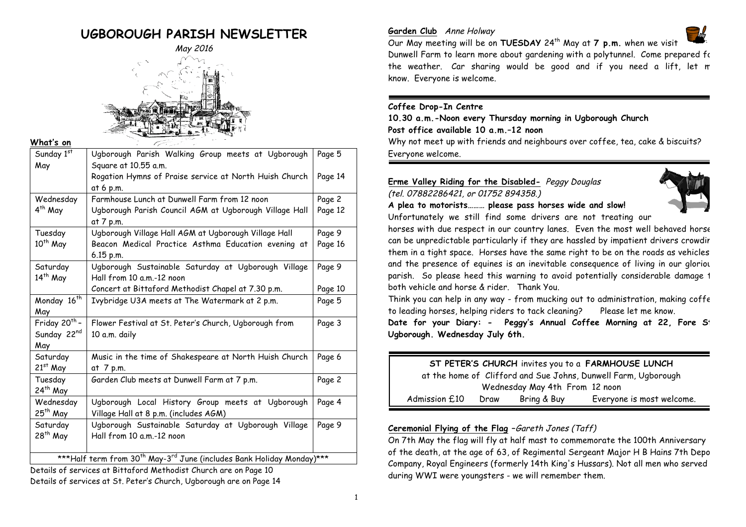# **UGBOROUGH PARISH NEWSLETTER**



**What's on**

| Sunday 1st                                                                                    | Ugborough Parish Walking Group meets at Ugborough      | Page 5  |
|-----------------------------------------------------------------------------------------------|--------------------------------------------------------|---------|
| May                                                                                           | Square at 10.55 a.m.                                   |         |
|                                                                                               | Rogation Hymns of Praise service at North Huish Church | Page 14 |
|                                                                                               | at 6 p.m.                                              |         |
| Wednesday                                                                                     | Farmhouse Lunch at Dunwell Farm from 12 noon           | Page 2  |
| 4 <sup>th</sup> May                                                                           | Ugborough Parish Council AGM at Ugborough Village Hall | Page 12 |
|                                                                                               | at 7 p.m.                                              |         |
| Tuesday                                                                                       | Ugborough Village Hall AGM at Ugborough Village Hall   | Page 9  |
| 10 <sup>th</sup> May                                                                          | Beacon Medical Practice Asthma Education evening at    | Page 16 |
|                                                                                               | $6.15$ p.m.                                            |         |
| Saturday                                                                                      | Ugborough Sustainable Saturday at Ugborough Village    | Page 9  |
| $14th$ May                                                                                    | Hall from 10 a.m.-12 noon                              |         |
|                                                                                               | Concert at Bittaford Methodist Chapel at 7.30 p.m.     | Page 10 |
| Monday 16 <sup>th</sup>                                                                       | Ivybridge U3A meets at The Watermark at 2 p.m.         | Page 5  |
| May                                                                                           |                                                        |         |
| Friday 20 <sup>th</sup> -                                                                     | Flower Festival at St. Peter's Church, Ugborough from  | Page 3  |
| Sunday 22 <sup>nd</sup>                                                                       | 10 a.m. daily                                          |         |
| May                                                                                           |                                                        |         |
| Saturday                                                                                      | Music in the time of Shakespeare at North Huish Church | Page 6  |
| 21st May                                                                                      | at 7 p.m.                                              |         |
| Tuesday                                                                                       | Garden Club meets at Dunwell Farm at 7 p.m.            | Page 2  |
| 24 <sup>th</sup> May                                                                          |                                                        |         |
| Wednesday                                                                                     | Ugborough Local History Group meets at Ugborough       | Page 4  |
| 25 <sup>th</sup> May                                                                          | Village Hall at 8 p.m. (includes AGM)                  |         |
| Saturday                                                                                      | Ugborough Sustainable Saturday at Ugborough Village    | Page 9  |
| 28 <sup>th</sup> May                                                                          | Hall from 10 a.m.-12 noon                              |         |
|                                                                                               |                                                        |         |
| ***Half term from 30 <sup>th</sup> May-3 <sup>rd</sup> June (includes Bank Holiday Monday)*** |                                                        |         |

Details of services at Bittaford Methodist Church are on Page 10 Details of services at St. Peter's Church, Ugborough are on Page 14

# **Garden Club** Anne Holway



Our May meeting will be on **TUESDAY** 24th May at **7 p.m.** when we visit Dunwell Farm to learn more about gardening with a polytunnel. Come prepared for the weather. Car sharing would be good and if you need a lift, let m know. Everyone is welcome.

# **Coffee Drop-In Centre**

**10.30 a.m.-Noon every Thursday morning in Ugborough Church Post office available 10 a.m.–12 noon** Why not meet up with friends and neighbours over coffee, tea, cake & biscuits? Everyone welcome.

**Erme Valley Riding for the Disabled-** Peggy Douglas (tel. 07882286421, or 01752 894358.)



**A plea to motorists……… please pass horses wide and slow!** Unfortunately we still find some drivers are not treating our

horses with due respect in our country lanes. Even the most well behaved horse can be unpredictable particularly if they are hassled by impatient drivers crowdir them in a tight space. Horses have the same right to be on the roads as vehicles – and the presence of equines is an inevitable consequence of living in our gloriou parish. So please heed this warning to avoid potentially considerable damage 1 both vehicle and horse & rider. Thank You.

Think you can help in any way - from mucking out to administration, making coffee to leading horses, helping riders to tack cleaning? Please let me know.

**Date for your Diary: - Peggy's Annual Coffee Morning at 22, Fore St, Ugborough. Wednesday July 6th.**

| ST PETER'S CHURCH invites you to a FARMHOUSE LUNCH |      |             |                                                                |
|----------------------------------------------------|------|-------------|----------------------------------------------------------------|
|                                                    |      |             | at the home of Clifford and Sue Johns, Dunwell Farm, Ugborough |
| Wednesday May 4th From 12 noon                     |      |             |                                                                |
| Admission £10                                      | Draw | Bring & Buy | Everyone is most welcome.                                      |
|                                                    |      |             |                                                                |

# **Ceremonial Flying of the Flag –**Gareth Jones (Taff)

On 7th May the flag will fly at half mast to commemorate the 100th Anniversary of the death, at the age of 63, of Regimental Sergeant Major H B Hains 7th Depo Company, Royal Engineers (formerly 14th King's Hussars). Not all men who served during WWI were youngsters - we will remember them.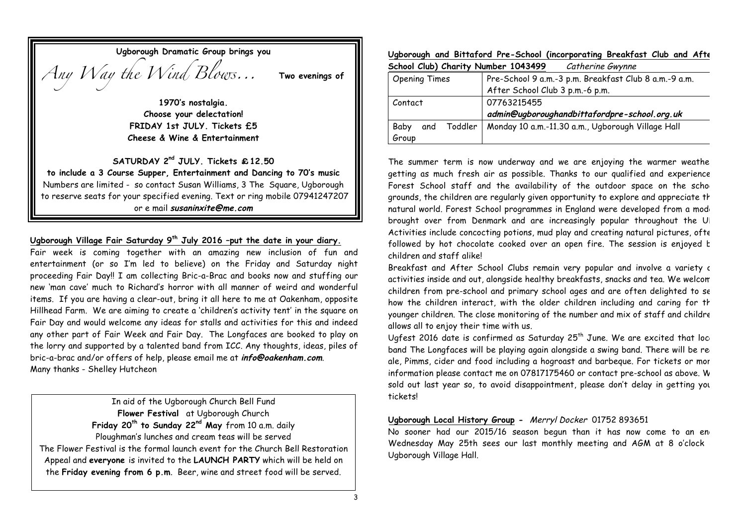| Ugborough Dramatic Group brings you |                 |
|-------------------------------------|-----------------|
| Any Way the Wind Blows              | Two evenings of |

**1970's nostalgia. Choose your delectation! FRIDAY 1st JULY. Tickets £5 Cheese & Wine & Entertainment**

# **SATURDAY 2nd JULY. Tickets** £**12.50**

**to include a 3 Course Supper, Entertainment and Dancing to 70's music** Numbers are limited - so contact Susan Williams, 3 The Square, Ugborough to reserve seats for your specified evening. Text or ring mobile 07941247207 or e mail **susaninxite@me.com**

# **Ugborough Village Fair Saturday 9th July 2016 –put the date in your diary.**

Fair week is coming together with an amazing new inclusion of fun and entertainment (or so I'm led to believe) on the Friday and Saturday night proceeding Fair Day!! I am collecting Bric-a-Brac and books now and stuffing our new 'man cave' much to Richard's horror with all manner of weird and wonderful items. If you are having a clear-out, bring it all here to me at Oakenham, opposite Hillhead Farm. We are aiming to create a 'children's activity tent' in the square on Fair Day and would welcome any ideas for stalls and activities for this and indeed any other part of Fair Week and Fair Day. The Longfaces are booked to play on the lorry and supported by a talented band from ICC. Any thoughts, ideas, piles of bric-a-brac and/or offers of help, please email me at **info@oakenham.com**. Many thanks - Shelley Hutcheon

In aid of the Ugborough Church Bell Fund **Flower Festival** at Ugborough Church **Friday 20th to Sunday 22nd May** from 10 a.m. daily Ploughman's lunches and cream teas will be served The Flower Festival is the formal launch event for the Church Bell Restoration Appeal and **everyone** is invited to the **LAUNCH PARTY** which will be held on the **Friday evening from 6 p.m**. Beer, wine and street food will be served.

#### **Ugborough and Bittaford Pre-School (incorporating Breakfast Club and After School Club) Charity Number 1043499** Catherine Gwynne

| <b>JUNUAL UND LONGETTY</b> | <b>INUIIIDEL TOLIATIS</b><br>CUTTIERTIE OWYNIE        |
|----------------------------|-------------------------------------------------------|
| <b>Opening Times</b>       | Pre-School 9 a.m.-3 p.m. Breakfast Club 8 a.m.-9 a.m. |
|                            | After School Club 3 p.m.-6 p.m.                       |
| Contact                    | 07763215455                                           |
|                            | admin@ugboroughandbittafordpre-school.org.uk          |
| Toddler<br>Baby<br>and     | Monday 10 a.m.-11.30 a.m., Ugborough Village Hall     |
| Group                      |                                                       |

The summer term is now underway and we are enjoying the warmer weather getting as much fresh air as possible. Thanks to our qualified and experience Forest School staff and the availability of the outdoor space on the scho grounds, the children are regularly given opportunity to explore and appreciate the natural world. Forest School programmes in England were developed from a mode brought over from Denmark and are increasingly popular throughout the UI Activities include concocting potions, mud play and creating natural pictures, ofte followed by hot chocolate cooked over an open fire. The session is enjoyed to children and staff alike!

Breakfast and After School Clubs remain very popular and involve a variety c activities inside and out, alongside healthy breakfasts, snacks and tea. We welcom children from pre-school and primary school ages and are often delighted to see how the children interact, with the older children including and caring for the younger children. The close monitoring of the number and mix of staff and childre allows all to enjoy their time with us.

Ugfest 2016 date is confirmed as Saturday  $25<sup>th</sup>$  June. We are excited that loc band The Longfaces will be playing again alongside a swing band. There will be real ale, Pimms, cider and food including a hogroast and barbeque. For tickets or mor information please contact me on 07817175460 or contact pre-school as above. W sold out last year so, to avoid disappointment, please don't delay in getting you tickets!

# **Ugborough Local History Group -** Merryl Docker 01752 893651

No sooner had our 2015/16 season begun than it has now come to an end Wednesday May 25th sees our last monthly meeting and AGM at 8 o'clock Ugborough Village Hall.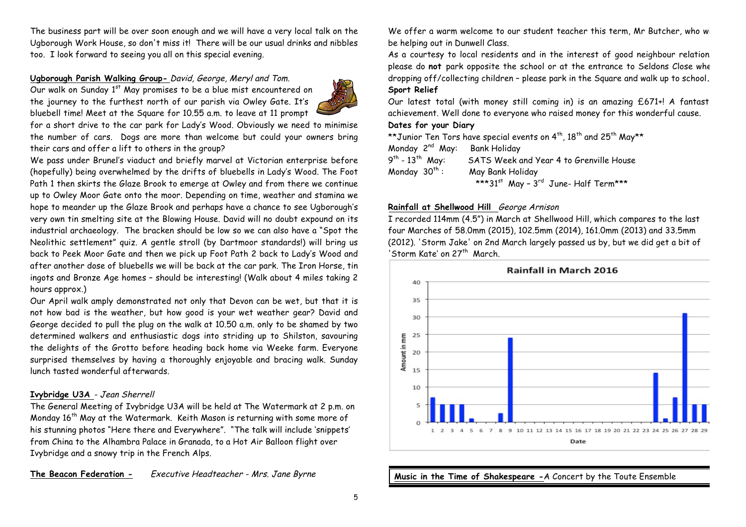The business part will be over soon enough and we will have a very local talk on the Ugborough Work House, so don't miss it! There will be our usual drinks and nibbles too. I look forward to seeing you all on this special evening.

# **Ugborough Parish Walking Group-** David, George, Meryl and Tom.

Our walk on Sunday 1<sup>st</sup> May promises to be a blue mist encountered on the journey to the furthest north of our parish via Owley Gate. It's bluebell time! Meet at the Square for 10.55 a.m. to leave at 11 prompt



for a short drive to the car park for Lady's Wood. Obviously we need to minimise the number of cars. Dogs are more than welcome but could your owners bring their cars and offer a lift to others in the group?

We pass under Brunel's viaduct and briefly marvel at Victorian enterprise before (hopefully) being overwhelmed by the drifts of bluebells in Lady's Wood. The Foot Path 1 then skirts the Glaze Brook to emerge at Owley and from there we continue up to Owley Moor Gate onto the moor. Depending on time, weather and stamina we hope to meander up the Glaze Brook and perhaps have a chance to see Ugborough's very own tin smelting site at the Blowing House. David will no doubt expound on its industrial archaeology. The bracken should be low so we can also have a "Spot the Neolithic settlement" quiz. A gentle stroll (by Dartmoor standards!) will bring us back to Peek Moor Gate and then we pick up Foot Path 2 back to Lady's Wood and after another dose of bluebells we will be back at the car park. The Iron Horse, tin ingots and Bronze Age homes – should be interesting! (Walk about 4 miles taking 2 hours approx.)

Our April walk amply demonstrated not only that Devon can be wet, but that it is not how bad is the weather, but how good is your wet weather gear? David and George decided to pull the plug on the walk at 10.50 a.m. only to be shamed by two determined walkers and enthusiastic dogs into striding up to Shilston, savouring the delights of the Grotto before heading back home via Weeke farm. Everyone surprised themselves by having a thoroughly enjoyable and bracing walk. Sunday lunch tasted wonderful afterwards.

# **Ivybridge U3A** - Jean Sherrell

The General Meeting of Ivybridge U3A will be held at The Watermark at 2 p.m. on Monday 16<sup>th</sup> May at the Watermark. Keith Mason is returning with some more of his stunning photos "Here there and Everywhere". "The talk will include 'snippets' from China to the Alhambra Palace in Granada, to a Hot Air Balloon flight over Ivybridge and a snowy trip in the French Alps.

**The Beacon Federation -** Executive Headteacher - Mrs. Jane Byrne

We offer a warm welcome to our student teacher this term, Mr Butcher, who will be helping out in Dunwell Class.

As a courtesy to local residents and in the interest of good neighbour relation please do not park opposite the school or at the entrance to Seldons Close whe dropping off/collecting children – please park in the Square and walk up to school**. Sport Relief**

Our latest total (with money still coming in) is an amazing £671+! A fantast achievement. Well done to everyone who raised money for this wonderful cause.

# **Dates for your Diary**

\*\*Junior Ten Tors have special events on  $4^{th}$ ,  $18^{th}$  and  $25^{th}$  May\*\* Monday 2nd May: Bank Holiday 9<sup>th</sup> - 13<sup>th</sup> May: SATS Week and Year 4 to Grenville House Monday  $30<sup>th</sup>$ : May Bank Holiday \*\*\* $31^{st}$  May -  $3^{rd}$  June- Half Term\*\*\*

# **Rainfall at Shellwood Hill** George Arnison

I recorded 114mm (4.5") in March at Shellwood Hill, which compares to the last four Marches of 58.0mm (2015), 102.5mm (2014), 161.0mm (2013) and 33.5mm (2012). 'Storm Jake' on 2nd March largely passed us by, but we did get a bit of 'Storm Kate' on 27<sup>th</sup> March.



**Music in the Time of Shakespeare -**A Concert by the Toute Ensemble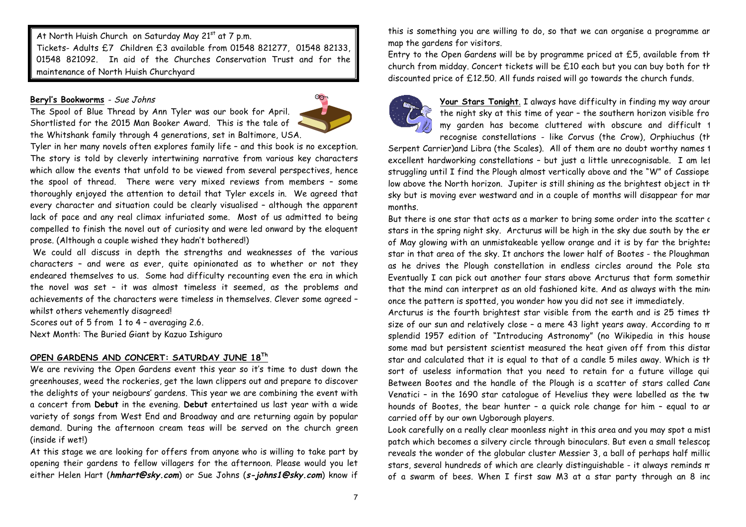At North Huish Church on Saturday May 21st at 7 p.m. Tickets- Adults £7 Children £3 available from 01548 821277, 01548 82133, 01548 821092. In aid of the Churches Conservation Trust and for the maintenance of North Huish Churchyard

### **Beryl's Bookworms** - Sue Johns

The Spool of Blue Thread by Ann Tyler was our book for April. Shortlisted for the 2015 Man Booker Award. This is the tale of the Whitshank family through 4 generations, set in Baltimore, USA.



Tyler in her many novels often explores family life – and this book is no exception. The story is told by cleverly intertwining narrative from various key characters which allow the events that unfold to be viewed from several perspectives, hence the spool of thread. There were very mixed reviews from members – some thoroughly enjoyed the attention to detail that Tyler excels in. We agreed that every character and situation could be clearly visualised – although the apparent lack of pace and any real climax infuriated some. Most of us admitted to being compelled to finish the novel out of curiosity and were led onward by the eloquent prose. (Although a couple wished they hadn't bothered!)

We could all discuss in depth the strengths and weaknesses of the various characters – and were as ever, quite opinionated as to whether or not they endeared themselves to us. Some had difficulty recounting even the era in which the novel was set – it was almost timeless it seemed, as the problems and achievements of the characters were timeless in themselves. Clever some agreed – whilst others vehemently disagreed!

Scores out of 5 from 1 to 4 – averaging 2.6. Next Month: The Buried Giant by Kazuo Ishiguro

# **OPEN GARDENS AND CONCERT: SATURDAY JUNE 18Th**

We are reviving the Open Gardens event this year so it's time to dust down the greenhouses, weed the rockeries, get the lawn clippers out and prepare to discover the delights of your neigbours' gardens. This year we are combining the event with a concert from **Debut** in the evening. **Debut** entertained us last year with a wide variety of songs from West End and Broadway and are returning again by popular demand. During the afternoon cream teas will be served on the church green (inside if wet!)

At this stage we are looking for offers from anyone who is willing to take part by opening their gardens to fellow villagers for the afternoon. Please would you let either Helen Hart (**hmhart@sky.com**) or Sue Johns (**s-johns1@sky.com**) know if this is something you are willing to do, so that we can organise a programme an map the gardens for visitors.

Entry to the Open Gardens will be by programme priced at  $£5$ , available from th church from midday. Concert tickets will be  $£10$  each but you can buy both for th discounted price of £12.50. All funds raised will go towards the church funds.



Your Stars Tonight. I always have difficulty in finding my way aroun the night sky at this time of year - the southern horizon visible from my garden has become cluttered with obscure and difficult 1 recognise constellations - like Corvus (the Crow), Orphiuchus (th

Serpent Carrier)and Libra (the Scales). All of them are no doubt worthy names 1 excellent hardworking constellations - but just a little unrecognisable. I am let struggling until I find the Plough almost vertically above and the "W" of Cassiope low above the North horizon. Jupiter is still shining as the brightest object in th sky but is moving ever westward and in a couple of months will disappear for mar months.

But there is one star that acts as a marker to bring some order into the scatter c stars in the spring night sky. Arcturus will be high in the sky due south by the end of May glowing with an unmistakeable yellow orange and it is by far the brightest star in that area of the sky. It anchors the lower half of Bootes - the Ploughman – as he drives the Plough constellation in endless circles around the Pole sta Eventually I can pick out another four stars above Arcturus that form somethir that the mind can interpret as an old fashioned kite. And as always with the ming once the pattern is spotted, you wonder how you did not see it immediately.

Arcturus is the fourth brightest star visible from the earth and is 25 times the size of our sun and relatively close - a mere 43 light years away. According to m splendid 1957 edition of "Introducing Astronomy" (no Wikipedia in this house!) some mad but persistent scientist measured the heat given off from this distar star and calculated that it is equal to that of a candle 5 miles away. Which is th sort of useless information that you need to retain for a future village qui Between Bootes and the handle of the Plough is a scatter of stars called Cane Venatici - in the 1690 star catalogue of Hevelius they were labelled as the twint hounds of Bootes, the bear hunter - a quick role change for him - equal to ar carried off by our own Ugborough players.

Look carefully on a really clear moonless night in this area and you may spot a mist patch which becomes a silvery circle through binoculars. But even a small telescop reveals the wonder of the globular cluster Messier 3, a ball of perhaps half millic stars, several hundreds of which are clearly distinguishable - it always reminds me of a swarm of bees. When I first saw M3 at a star party through an 8 inc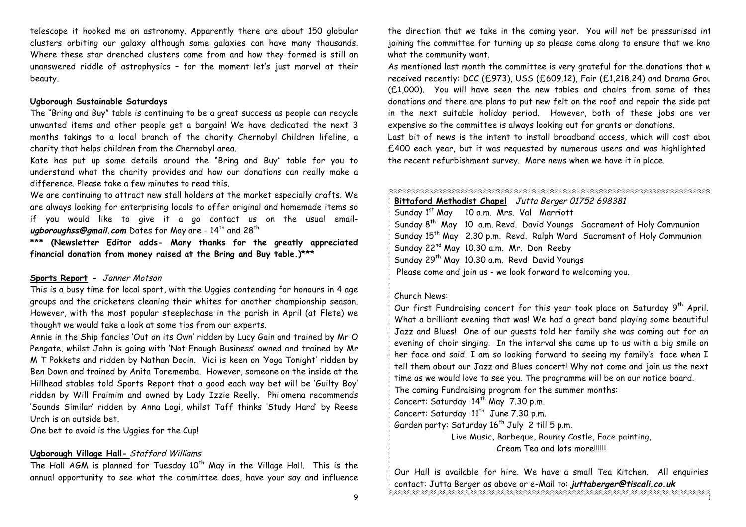telescope it hooked me on astronomy. Apparently there are about 150 globular clusters orbiting our galaxy although some galaxies can have many thousands. Where these star drenched clusters came from and how they formed is still an unanswered riddle of astrophysics – for the moment let's just marvel at their beauty.

#### **Ugborough Sustainable Saturdays**

The "Bring and Buy" table is continuing to be a great success as people can recycle unwanted items and other people get a bargain! We have dedicated the next 3 months takings to a local branch of the charity Chernobyl Children lifeline, a charity that helps children from the Chernobyl area.

Kate has put up some details around the "Bring and Buy" table for you to understand what the charity provides and how our donations can really make a difference. Please take a few minutes to read this.

We are continuing to attract new stall holders at the market especially crafts. We are always looking for enterprising locals to offer original and homemade items so if you would like to give it a go contact us on the usual emailugboroughss@gmail.com Dates for May are - 14<sup>th</sup> and 28<sup>th</sup>

**\*\*\* (Newsletter Editor adds- Many thanks for the greatly appreciated financial donation from money raised at the Bring and Buy table.)\*\*\*** 

## **Sports Report -** Janner Motson

This is a busy time for local sport, with the Uggies contending for honours in 4 age groups and the cricketers cleaning their whites for another championship season. However, with the most popular steeplechase in the parish in April (at Flete) we thought we would take a look at some tips from our experts.

Annie in the Ship fancies 'Out on its Own' ridden by Lucy Gain and trained by Mr O Pengate, whilst John is going with 'Not Enough Business' owned and trained by Mr M T Pokkets and ridden by Nathan Dooin. Vici is keen on 'Yoga Tonight' ridden by Ben Down and trained by Anita Torememba. However, someone on the inside at the Hillhead stables told Sports Report that a good each way bet will be 'Guilty Boy' ridden by Will Fraimim and owned by Lady Izzie Reelly. Philomena recommends 'Sounds Similar' ridden by Anna Logi, whilst Taff thinks 'Study Hard' by Reese Urch is an outside bet.

One bet to avoid is the Uggies for the Cup!

#### **Ugborough Village Hall-** Stafford Williams

The Hall  $AGM$  is planned for Tuesday  $10<sup>th</sup>$  May in the Village Hall. This is the annual opportunity to see what the committee does, have your say and influence the direction that we take in the coming year. You will not be pressurised int joining the committee for turning up so please come along to ensure that we kno what the community want.

As mentioned last month the committee is very grateful for the donations that w received recently: DCC (£973), USS (£609.12), Fair (£1,218.24) and Drama Group  $(E1,000)$ . You will have seen the new tables and chairs from some of these donations and there are plans to put new felt on the roof and repair the side path in the next suitable holiday period. However, both of these jobs are ver expensive so the committee is always looking out for grants or donations.

Last bit of news is the intent to install broadband access, which will cost about £400 each year, but it was requested by numerous users and was highlighted the recent refurbishment survey. More news when we have it in place.

| ベベベベベベベベベベベベ<br>Bittaford Methodist Chapel Jutta Berger 01752 698381                                  |
|-------------------------------------------------------------------------------------------------------|
| Sunday 1 <sup>st</sup> May 10 a.m. Mrs. Val Marriott                                                  |
| $^{\circ}$ Sunday 8th May $\,$ 10 $\,$ a.m. Revd. David Youngs $\,$ Sacrament of Holy Communion $\,$  |
| $\frac{1}{2}$ Sunday 15 <sup>th</sup> May   2.30 p.m.  Revd.  Ralph Ward  Sacrament of Holy Communion |
| Sunday 22 <sup>nd</sup> May 10.30 a.m. Mr. Don Reeby                                                  |
| Sunday 29 <sup>th</sup> May 10.30 a.m. Revd David Youngs                                              |
| $\frac{1}{2}$ Please come and join us - we look forward to welcoming you.                             |
|                                                                                                       |
|                                                                                                       |

#### Church News:

Our first Fundraising concert for this year took place on Saturday 9<sup>th</sup> April. What a brilliant evening that was! We had a great band playing some beautiful Jazz and Blues! One of our guests told her family she was coming out for an evening of choir singing. In the interval she came up to us with a big smile on her face and said: I am so looking forward to seeing my family's face when I tell them about our Jazz and Blues concert! Why not come and join us the next time as we would love to see you. The programme will be on our notice board. R

The coming Fundraising program for the summer months:

Concert: Saturday  $14<sup>th</sup>$  May 7.30 p.m.

Concert: Saturday  $11<sup>th</sup>$  June 7.30 p.m.

Garden party: Saturday  $16^{th}$  July 2 till 5 p.m.

Live Music, Barbeque, Bouncy Castle, Face painting, Cream Tea and lots more!!!!!!

 $\mathbf{1}^{\top}$ Our Hall is available for hire. We have a small Tea Kitchen. All enquiries contact: Jutta Berger as above or e-Mail to: **juttaberger@tiscali.co.uk**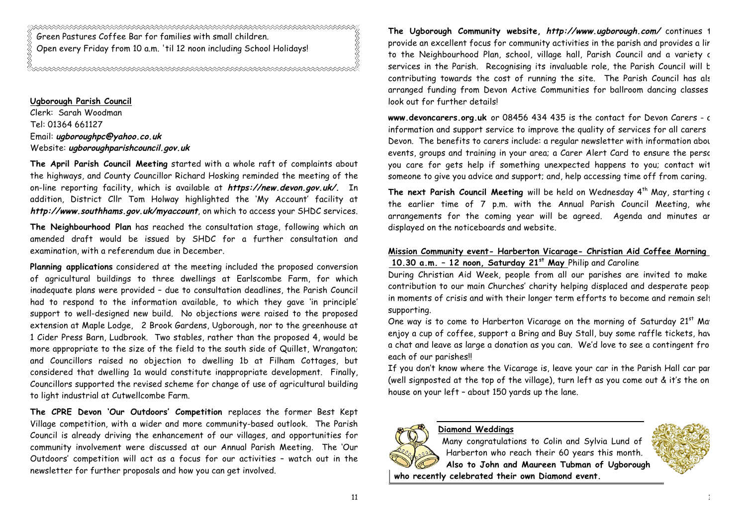Green Pastures Coffee Bar for families with small children. Open every Friday from 10 a.m. 'til 12 noon including School Holidays!

**Ugborough Parish Council** Clerk: Sarah Woodman Tel: 01364 661127 Email: **ugboroughpc@yahoo.co.uk** Website: **ugboroughparishcouncil.gov.uk**

**The April Parish Council Meeting** started with a whole raft of complaints about the highways, and County Councillor Richard Hosking reminded the meeting of the on-line reporting facility, which is available at **https://new.devon.gov.uk/.** In addition, District Cllr Tom Holway highlighted the 'My Account' facility at **http://www.southhams.gov.uk/myaccount**, on which to access your SHDC services.

**The Neighbourhood Plan** has reached the consultation stage, following which an amended draft would be issued by SHDC for a further consultation and examination, with a referendum due in December.

**Planning applications** considered at the meeting included the proposed conversion of agricultural buildings to three dwellings at Earlscombe Farm, for which inadequate plans were provided – due to consultation deadlines, the Parish Council had to respond to the information available, to which they gave 'in principle' support to well-designed new build. No objections were raised to the proposed extension at Maple Lodge, 2 Brook Gardens, Ugborough, nor to the greenhouse at 1 Cider Press Barn, Ludbrook. Two stables, rather than the proposed 4, would be more appropriate to the size of the field to the south side of Quillet, Wrangaton; and Councillors raised no objection to dwelling 1b at Filham Cottages, but considered that dwelling 1a would constitute inappropriate development. Finally, Councillors supported the revised scheme for change of use of agricultural building to light industrial at Cutwellcombe Farm.

**The CPRE Devon 'Our Outdoors' Competition** replaces the former Best Kept Village competition, with a wider and more community-based outlook. The Parish Council is already driving the enhancement of our villages, and opportunities for community involvement were discussed at our Annual Parish Meeting. The 'Our Outdoors' competition will act as a focus for our activities – watch out in the newsletter for further proposals and how you can get involved.

**The Ugborough Community website, http://www.ugborough.com/** continues to provide an excellent focus for community activities in the parish and provides a lir to the Neighbourhood Plan, school, village hall, Parish Council and a variety c services in the Parish. Recognising its invaluable role, the Parish Council will be contributing towards the cost of running the site. The Parish Council has also arranged funding from Devon Active Communities for ballroom dancing classes – look out for further details!

**www.devoncarers.org.uk** or 08456 434 435 is the contact for Devon Carers - an information and support service to improve the quality of services for all carers Devon. The benefits to carers include: a regular newsletter with information about events, groups and training in your area; a Carer Alert Card to ensure the person you care for gets help if something unexpected happens to you; contact with someone to give you advice and support; and, help accessing time off from caring.

The next Parish Council Meeting will be held on Wednesday 4<sup>th</sup> May, starting a the earlier time of 7 p.m. with the Annual Parish Council Meeting, when arrangements for the coming year will be agreed. Agenda and minutes ar displayed on the noticeboards and website.

# **Mission Community event- Harberton Vicarage- Christian Aid Coffee Morning – 10.30 a.m. – 12 noon, Saturday 21st May** Philip and Caroline

During Christian Aid Week, people from all our parishes are invited to make contribution to our main Churches' charity helping displaced and desperate peopl in moments of crisis and with their longer term efforts to become and remain selfsupporting.

One way is to come to Harberton Vicarage on the morning of Saturday 21st Ma<sup>r</sup> enjoy a cup of coffee, support a Bring and Buy Stall, buy some raffle tickets, have a chat and leave as large a donation as you can. We'd love to see a contingent from each of our parishes!!

If you don't know where the Vicarage is, leave your car in the Parish Hall car park (well signposted at the top of the village), turn left as you come out  $\&$  it's the on house on your left – about 150 yards up the lane.

# **Diamond Weddings**

Many congratulations to Colin and Sylvia Lund of Harberton who reach their 60 years this month. **Also to John and Maureen Tubman of Ugborough who recently celebrated their own Diamond event.**

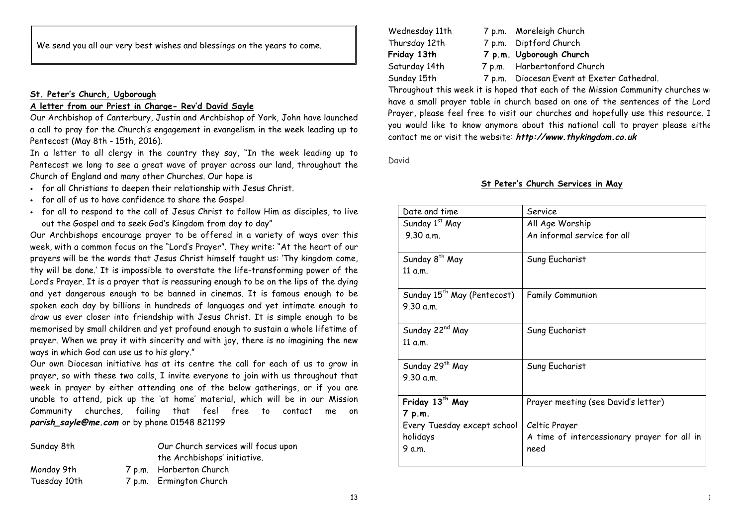We send you all our very best wishes and blessings on the years to come.

# **St. Peter's Church, Ugborough**

# **A letter from our Priest in Charge- Rev'd David Sayle**

Our Archbishop of Canterbury, Justin and Archbishop of York, John have launched a call to pray for the Church's engagement in evangelism in the week leading up to Pentecost (May 8th - 15th, 2016).

In a letter to all clergy in the country they say, "In the week leading up to Pentecost we long to see a great wave of prayer across our land, throughout the Church of England and many other Churches. Our hope is

- for all Christians to deepen their relationship with Jesus Christ.
- for all of us to have confidence to share the Gospel
- for all to respond to the call of Jesus Christ to follow Him as disciples, to live out the Gospel and to seek God's Kingdom from day to day"

Our Archbishops encourage prayer to be offered in a variety of ways over this week, with a common focus on the "Lord's Prayer". They write: "At the heart of our prayers will be the words that Jesus Christ himself taught us: 'Thy kingdom come, thy will be done.' It is impossible to overstate the life-transforming power of the Lord's Prayer. It is a prayer that is reassuring enough to be on the lips of the dying and yet dangerous enough to be banned in cinemas. It is famous enough to be spoken each day by billions in hundreds of languages and yet intimate enough to draw us ever closer into friendship with Jesus Christ. It is simple enough to be memorised by small children and yet profound enough to sustain a whole lifetime of prayer. When we pray it with sincerity and with joy, there is no imagining the new ways in which God can use us to his glory."

Our own Diocesan initiative has at its centre the call for each of us to grow in prayer, so with these two calls, I invite everyone to join with us throughout that week in prayer by either attending one of the below gatherings, or if you are unable to attend, pick up the 'at home' material, which will be in our Mission Community churches, failing that feel free to contact me on **parish\_sayle@me.com** or by phone 01548 821199

| Sunday 8th   | Our Church services will focus upon<br>the Archbishops' initiative. |
|--------------|---------------------------------------------------------------------|
| Monday 9th   | 7 p.m. Harberton Church                                             |
| Tuesday 10th | 7 p.m. Ermington Church                                             |

| Wednesday 11th | 7 p.m. Moreleigh Church                    |
|----------------|--------------------------------------------|
| Thursday 12th  | 7 p.m. Diptford Church                     |
| Friday 13th    | 7 p.m. Ugborough Church                    |
| Saturday 14th  | 7 p.m. Harbertonford Church                |
| Sunday 15th    | 7 p.m. Diocesan Event at Exeter Cathedral. |

Throughout this week it is hoped that each of the Mission Community churches will have a small prayer table in church based on one of the sentences of the Lord Prayer, please feel free to visit our churches and hopefully use this resource. I you would like to know anymore about this national call to prayer please eithe contact me or visit the website: **http://www.thykingdom.co.uk**

David

# **St Peter's Church Services in May**

| Date and time                           | Service                                     |
|-----------------------------------------|---------------------------------------------|
| Sunday 1st May                          | All Age Worship                             |
| 9.30 a.m.                               | An informal service for all                 |
|                                         |                                             |
| Sunday 8 <sup>th</sup> May              | Sung Eucharist                              |
| 11 a.m.                                 |                                             |
|                                         |                                             |
| Sunday 15 <sup>th</sup> May (Pentecost) | <b>Family Communion</b>                     |
| 9.30 a.m.                               |                                             |
|                                         |                                             |
| Sunday 22 <sup>nd</sup> May             | Sung Eucharist                              |
| 11 a.m.                                 |                                             |
|                                         |                                             |
| Sunday 29 <sup>th</sup> May             | Sung Eucharist                              |
| 9.30 a.m.                               |                                             |
|                                         |                                             |
| Friday 13 <sup>th</sup> May             | Prayer meeting (see David's letter)         |
| 7 p.m.                                  |                                             |
| Every Tuesday except school             | Celtic Prayer                               |
| holidays                                | A time of intercessionary prayer for all in |
| 9 a.m.                                  | need                                        |
|                                         |                                             |